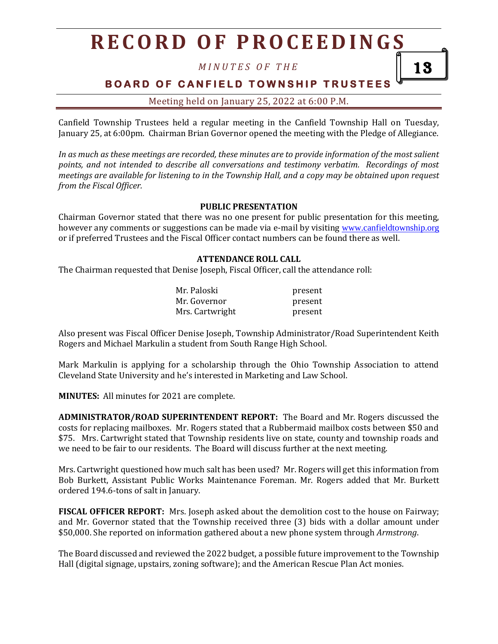*M I N U T E S O F T H E*

13

## **BOARD OF CANFIELD TOWNSHIP TRUSTEES**

Meeting held on January 25, 2022 at 6:00 P.M.

Canfield Township Trustees held a regular meeting in the Canfield Township Hall on Tuesday, January 25, at 6:00pm. Chairman Brian Governor opened the meeting with the Pledge of Allegiance.

*In as much as these meetings are recorded, these minutes are to provide information of the most salient points, and not intended to describe all conversations and testimony verbatim. Recordings of most meetings are available for listening to in the Township Hall, and a copy may be obtained upon request from the Fiscal Officer.*

### **PUBLIC PRESENTATION**

Chairman Governor stated that there was no one present for public presentation for this meeting, however any comments or suggestions can be made via e-mail by visiting [www.canfieldtownship.org](http://www.canfieldtownship.org/) or if preferred Trustees and the Fiscal Officer contact numbers can be found there as well.

### **ATTENDANCE ROLL CALL**

The Chairman requested that Denise Joseph, Fiscal Officer, call the attendance roll:

| Mr. Paloski     | present |
|-----------------|---------|
| Mr. Governor    | present |
| Mrs. Cartwright | present |

Also present was Fiscal Officer Denise Joseph, Township Administrator/Road Superintendent Keith Rogers and Michael Markulin a student from South Range High School.

Mark Markulin is applying for a scholarship through the Ohio Township Association to attend Cleveland State University and he's interested in Marketing and Law School.

**MINUTES:** All minutes for 2021 are complete.

**ADMINISTRATOR/ROAD SUPERINTENDENT REPORT:** The Board and Mr. Rogers discussed the costs for replacing mailboxes. Mr. Rogers stated that a Rubbermaid mailbox costs between \$50 and \$75. Mrs. Cartwright stated that Township residents live on state, county and township roads and we need to be fair to our residents. The Board will discuss further at the next meeting.

Mrs. Cartwright questioned how much salt has been used? Mr. Rogers will get this information from Bob Burkett, Assistant Public Works Maintenance Foreman. Mr. Rogers added that Mr. Burkett ordered 194.6-tons of salt in January.

**FISCAL OFFICER REPORT:** Mrs. Joseph asked about the demolition cost to the house on Fairway; and Mr. Governor stated that the Township received three (3) bids with a dollar amount under \$50,000. She reported on information gathered about a new phone system through *Armstrong*.

The Board discussed and reviewed the 2022 budget, a possible future improvement to the Township Hall (digital signage, upstairs, zoning software); and the American Rescue Plan Act monies.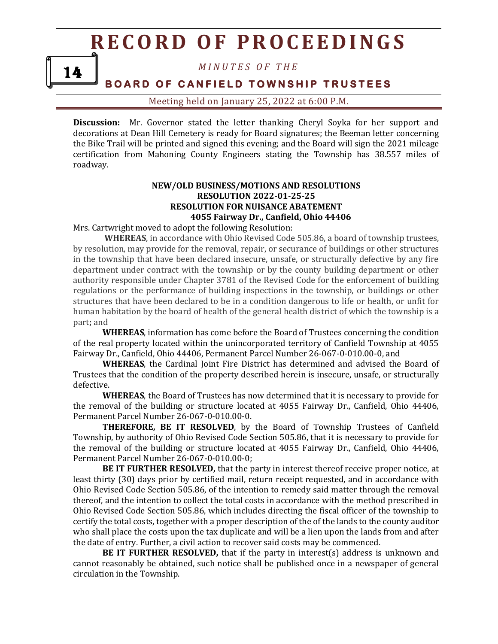14

*M I N U T E S O F T H E*

### **BOARD OF CANFIELD TOWNSHIP TRUSTEES**

Meeting held on January 25, 2022 at 6:00 P.M.

**Discussion:** Mr. Governor stated the letter thanking Cheryl Soyka for her support and decorations at Dean Hill Cemetery is ready for Board signatures; the Beeman letter concerning the Bike Trail will be printed and signed this evening; and the Board will sign the 2021 mileage certification from Mahoning County Engineers stating the Township has 38.557 miles of roadway.

### **NEW/OLD BUSINESS/MOTIONS AND RESOLUTIONS RESOLUTION 2022-01-25-25 RESOLUTION FOR NUISANCE ABATEMENT 4055 Fairway Dr., Canfield, Ohio 44406**

Mrs. Cartwright moved to adopt the following Resolution:

**WHEREAS**, in accordance with Ohio Revised Code 505.86, a board of township trustees, by resolution, may provide for the removal, repair, or securance of buildings or other structures in the township that have been declared insecure, unsafe, or structurally defective by any fire department under contract with the township or by the county building department or other authority responsible under Chapter 3781 of the Revised Code for the enforcement of building regulations or the performance of building inspections in the township, or buildings or other structures that have been declared to be in a condition dangerous to life or health, or unfit for human habitation by the board of health of the general health district of which the township is a part**;** and

**WHEREAS**, information has come before the Board of Trustees concerning the condition of the real property located within the unincorporated territory of Canfield Township at 4055 Fairway Dr., Canfield, Ohio 44406, Permanent Parcel Number 26-067-0-010.00-0, and

**WHEREAS**, the Cardinal Joint Fire District has determined and advised the Board of Trustees that the condition of the property described herein is insecure, unsafe, or structurally defective.

**WHEREAS**, the Board of Trustees has now determined that it is necessary to provide for the removal of the building or structure located at 4055 Fairway Dr., Canfield, Ohio 44406, Permanent Parcel Number 26-067-0-010.00-0.

**THEREFORE, BE IT RESOLVED**, by the Board of Township Trustees of Canfield Township, by authority of Ohio Revised Code Section 505.86, that it is necessary to provide for the removal of the building or structure located at 4055 Fairway Dr., Canfield, Ohio 44406, Permanent Parcel Number 26-067-0-010.00-0;

**BE IT FURTHER RESOLVED,** that the party in interest thereof receive proper notice, at least thirty (30) days prior by certified mail, return receipt requested, and in accordance with Ohio Revised Code Section 505.86, of the intention to remedy said matter through the removal thereof, and the intention to collect the total costs in accordance with the method prescribed in Ohio Revised Code Section 505.86, which includes directing the fiscal officer of the township to certify the total costs, together with a proper description of the of the lands to the county auditor who shall place the costs upon the tax duplicate and will be a lien upon the lands from and after the date of entry. Further, a civil action to recover said costs may be commenced.

**BE IT FURTHER RESOLVED,** that if the party in interest(s) address is unknown and cannot reasonably be obtained, such notice shall be published once in a newspaper of general circulation in the Township.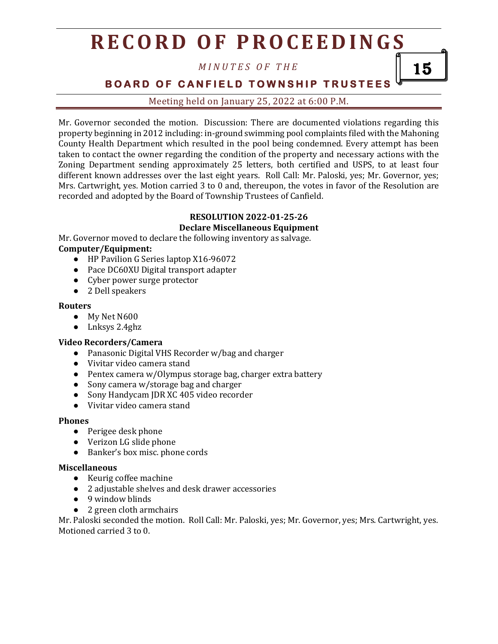*M I N U T E S O F T H E*

**BOARD OF CANFIELD TOWNSHIP TRUSTEES** 

15

Meeting held on January 25, 2022 at 6:00 P.M.

Mr. Governor seconded the motion. Discussion: There are documented violations regarding this property beginning in 2012 including: in-ground swimming pool complaints filed with the Mahoning County Health Department which resulted in the pool being condemned. Every attempt has been taken to contact the owner regarding the condition of the property and necessary actions with the Zoning Department sending approximately 25 letters, both certified and USPS, to at least four different known addresses over the last eight years. Roll Call: Mr. Paloski, yes; Mr. Governor, yes; Mrs. Cartwright, yes. Motion carried 3 to 0 and, thereupon, the votes in favor of the Resolution are recorded and adopted by the Board of Township Trustees of Canfield.

#### **RESOLUTION 2022-01-25-26 Declare Miscellaneous Equipment**

Mr. Governor moved to declare the following inventory as salvage.

### **Computer/Equipment:**

- HP Pavilion G Series laptop X16-96072
- Pace DC60XU Digital transport adapter
- Cyber power surge protector
- 2 Dell speakers

### **Routers**

- My Net N600
- Lnksys 2.4ghz

### **Video Recorders/Camera**

- Panasonic Digital VHS Recorder w/bag and charger
- Vivitar video camera stand
- Pentex camera w/Olympus storage bag, charger extra battery
- Sony camera w/storage bag and charger
- Sony Handycam JDR XC 405 video recorder
- Vivitar video camera stand

### **Phones**

- Perigee desk phone
- Verizon LG slide phone
- Banker's box misc. phone cords

### **Miscellaneous**

- Keurig coffee machine
- 2 adjustable shelves and desk drawer accessories
- 9 window blinds
- 2 green cloth armchairs

Mr. Paloski seconded the motion. Roll Call: Mr. Paloski, yes; Mr. Governor, yes; Mrs. Cartwright, yes. Motioned carried 3 to 0.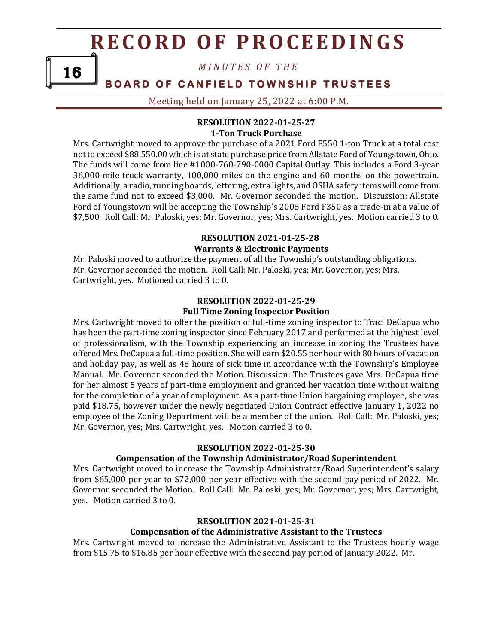*M I N U T E S O F T H E*

### **BOARD OF CANFIELD TOWNSHIP TRUSTEES**

Meeting held on January 25, 2022 at 6:00 P.M.

### **RESOLUTION 2022-01-25-27 1-Ton Truck Purchase**

Mrs. Cartwright moved to approve the purchase of a 2021 Ford F550 1-ton Truck at a total cost not to exceed \$88,550.00 which is at state purchase price from Allstate Ford of Youngstown, Ohio. The funds will come from line #1000-760-790-0000 Capital Outlay. This includes a Ford 3-year 36,000-mile truck warranty, 100,000 miles on the engine and 60 months on the powertrain. Additionally, a radio, running boards, lettering, extra lights, and OSHA safety items will come from the same fund not to exceed \$3,000. Mr. Governor seconded the motion. Discussion: Allstate Ford of Youngstown will be accepting the Township's 2008 Ford F350 as a trade-in at a value of \$7,500. Roll Call: Mr. Paloski, yes; Mr. Governor, yes; Mrs. Cartwright, yes. Motion carried 3 to 0.

### **RESOLUTION 2021-01-25-28**

### **Warrants & Electronic Payments**

Mr. Paloski moved to authorize the payment of all the Township's outstanding obligations. Mr. Governor seconded the motion. Roll Call: Mr. Paloski, yes; Mr. Governor, yes; Mrs. Cartwright, yes. Motioned carried 3 to 0.

### **RESOLUTION 2022-01-25-29 Full Time Zoning Inspector Position**

Mrs. Cartwright moved to offer the position of full-time zoning inspector to Traci DeCapua who has been the part-time zoning inspector since February 2017 and performed at the highest level of professionalism, with the Township experiencing an increase in zoning the Trustees have offered Mrs. DeCapua a full-time position. She will earn \$20.55 per hour with 80 hours of vacation and holiday pay, as well as 48 hours of sick time in accordance with the Township's Employee Manual. Mr. Governor seconded the Motion. Discussion: The Trustees gave Mrs. DeCapua time for her almost 5 years of part-time employment and granted her vacation time without waiting for the completion of a year of employment. As a part-time Union bargaining employee, she was paid \$18.75, however under the newly negotiated Union Contract effective January 1, 2022 no employee of the Zoning Department will be a member of the union. Roll Call: Mr. Paloski, yes; Mr. Governor, yes; Mrs. Cartwright, yes. Motion carried 3 to 0.

### **RESOLUTION 2022-01-25-30**

### **Compensation of the Township Administrator/Road Superintendent**

Mrs. Cartwright moved to increase the Township Administrator/Road Superintendent's salary from \$65,000 per year to \$72,000 per year effective with the second pay period of 2022. Mr. Governor seconded the Motion. Roll Call: Mr. Paloski, yes; Mr. Governor, yes; Mrs. Cartwright, yes. Motion carried 3 to 0.

### **RESOLUTION 2021-01-25-31**

### **Compensation of the Administrative Assistant to the Trustees**

Mrs. Cartwright moved to increase the Administrative Assistant to the Trustees hourly wage from \$15.75 to \$16.85 per hour effective with the second pay period of January 2022. Mr.

16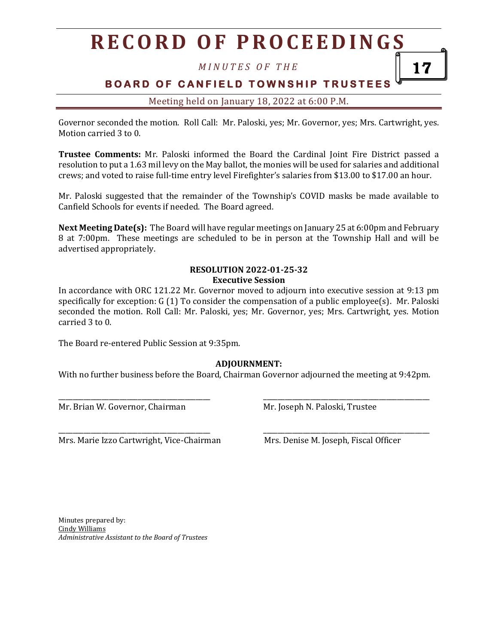*M I N U T E S O F T H E*

**BOARD OF CANFIELD TOWNSHIP TRUSTEES** 

Meeting held on January 18, 2022 at 6:00 P.M.

Governor seconded the motion. Roll Call: Mr. Paloski, yes; Mr. Governor, yes; Mrs. Cartwright, yes. Motion carried 3 to 0.

**Trustee Comments:** Mr. Paloski informed the Board the Cardinal Joint Fire District passed a resolution to put a 1.63 mil levy on the May ballot, the monies will be used for salaries and additional crews; and voted to raise full-time entry level Firefighter's salaries from \$13.00 to \$17.00 an hour.

Mr. Paloski suggested that the remainder of the Township's COVID masks be made available to Canfield Schools for events if needed. The Board agreed.

**Next Meeting Date(s):** The Board will have regular meetings on January 25 at 6:00pm and February 8 at 7:00pm. These meetings are scheduled to be in person at the Township Hall and will be advertised appropriately.

#### **RESOLUTION 2022-01-25-32 Executive Session**

In accordance with ORC 121.22 Mr. Governor moved to adjourn into executive session at 9:13 pm specifically for exception: G (1) To consider the compensation of a public employee(s). Mr. Paloski seconded the motion. Roll Call: Mr. Paloski, yes; Mr. Governor, yes; Mrs. Cartwright, yes. Motion carried 3 to 0.

The Board re-entered Public Session at 9:35pm.

### **ADJOURNMENT:**

With no further business before the Board, Chairman Governor adjourned the meeting at 9:42pm.

\_\_\_\_\_\_\_\_\_\_\_\_\_\_\_\_\_\_\_\_\_\_\_\_\_\_\_\_\_\_\_\_\_\_\_\_\_\_\_\_\_\_ \_\_\_\_\_\_\_\_\_\_\_\_\_\_\_\_\_\_\_\_\_\_\_\_\_\_\_\_\_\_\_\_\_\_\_\_\_\_\_\_\_\_\_\_\_\_

\_\_\_\_\_\_\_\_\_\_\_\_\_\_\_\_\_\_\_\_\_\_\_\_\_\_\_\_\_\_\_\_\_\_\_\_\_\_\_\_\_\_ \_\_\_\_\_\_\_\_\_\_\_\_\_\_\_\_\_\_\_\_\_\_\_\_\_\_\_\_\_\_\_\_\_\_\_\_\_\_\_\_\_\_\_\_\_\_

Mr. Brian W. Governor, Chairman Mr. Joseph N. Paloski, Trustee

Mrs. Marie Izzo Cartwright, Vice-Chairman Mrs. Denise M. Joseph, Fiscal Officer

17

Minutes prepared by: Cindy Williams *Administrative Assistant to the Board of Trustees*